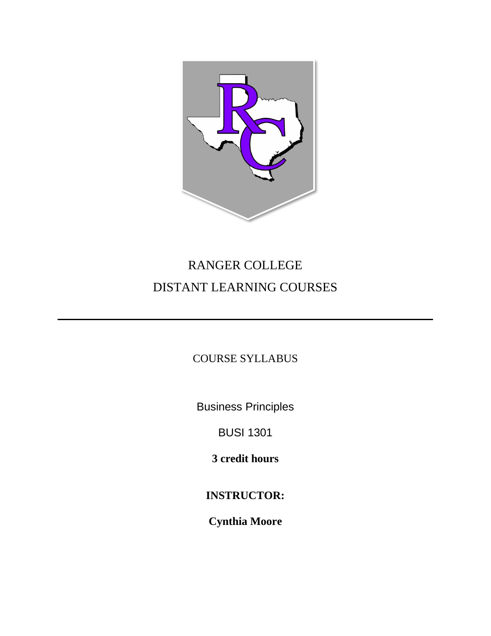

# RANGER COLLEGE DISTANT LEARNING COURSES

COURSE SYLLABUS

Business Principles

BUSI 1301

**3 credit hours**

**INSTRUCTOR:**

**Cynthia Moore**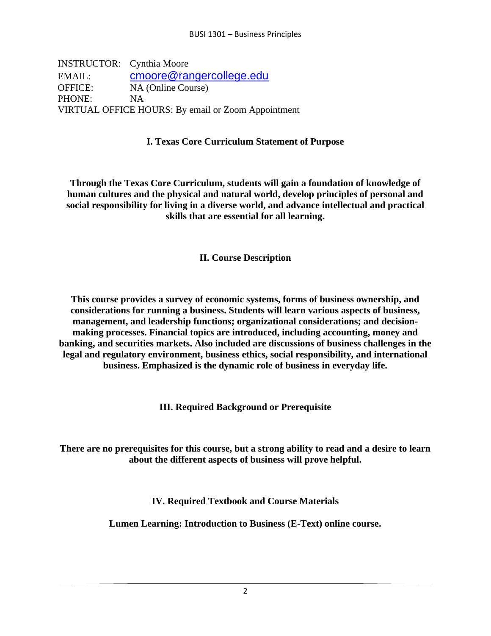INSTRUCTOR: Cynthia Moore EMAIL: [cmoore@rangercollege.edu](mailto:cmoore@rangercollege.edu) OFFICE: NA (Online Course) PHONE: NA VIRTUAL OFFICE HOURS: By email or Zoom Appointment

## **I. Texas Core Curriculum Statement of Purpose**

**Through the Texas Core Curriculum, students will gain a foundation of knowledge of human cultures and the physical and natural world, develop principles of personal and social responsibility for living in a diverse world, and advance intellectual and practical skills that are essential for all learning.** 

## **II. Course Description**

**This course provides a survey of economic systems, forms of business ownership, and considerations for running a business. Students will learn various aspects of business, management, and leadership functions; organizational considerations; and decisionmaking processes. Financial topics are introduced, including accounting, money and banking, and securities markets. Also included are discussions of business challenges in the legal and regulatory environment, business ethics, social responsibility, and international business. Emphasized is the dynamic role of business in everyday life.** 

**III. Required Background or Prerequisite** 

**There are no prerequisites for this course, but a strong ability to read and a desire to learn about the different aspects of business will prove helpful.** 

**IV. Required Textbook and Course Materials** 

**Lumen Learning: Introduction to Business (E-Text) online course.**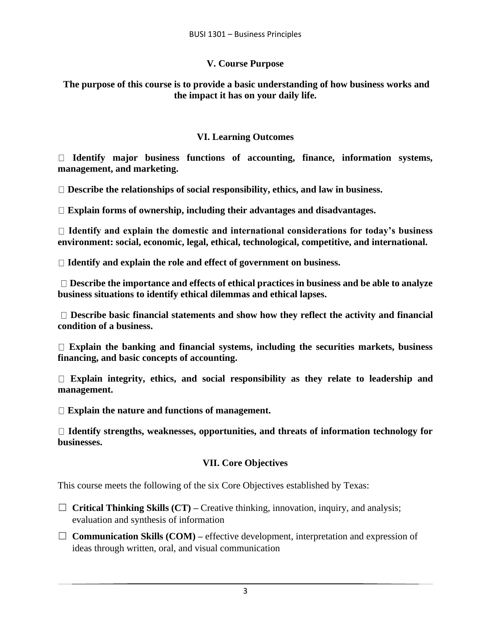#### **V. Course Purpose**

**The purpose of this course is to provide a basic understanding of how business works and the impact it has on your daily life.** 

#### **VI. Learning Outcomes**

**Identify major business functions of accounting, finance, information systems, management, and marketing.** 

**Describe the relationships of social responsibility, ethics, and law in business.** 

**Explain forms of ownership, including their advantages and disadvantages.** 

**Identify and explain the domestic and international considerations for today's business environment: social, economic, legal, ethical, technological, competitive, and international.** 

**Identify and explain the role and effect of government on business.**

**Describe the importance and effects of ethical practices in business and be able to analyze business situations to identify ethical dilemmas and ethical lapses.**

**Describe basic financial statements and show how they reflect the activity and financial condition of a business.** 

**Explain the banking and financial systems, including the securities markets, business financing, and basic concepts of accounting.** 

**Explain integrity, ethics, and social responsibility as they relate to leadership and management.** 

**Explain the nature and functions of management.** 

**Identify strengths, weaknesses, opportunities, and threats of information technology for businesses.**

## **VII. Core Objectives**

This course meets the following of the six Core Objectives established by Texas:

- ☐ **Critical Thinking Skills (CT) –** Creative thinking, innovation, inquiry, and analysis; evaluation and synthesis of information
- ☐ **Communication Skills (COM) –** effective development, interpretation and expression of ideas through written, oral, and visual communication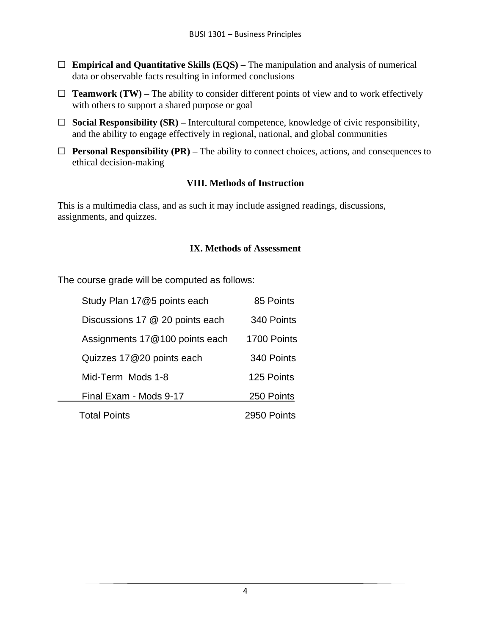- ☐ **Empirical and Quantitative Skills (EQS) –** The manipulation and analysis of numerical data or observable facts resulting in informed conclusions
- $\Box$  **Teamwork (TW)** The ability to consider different points of view and to work effectively with others to support a shared purpose or goal
- ☐ **Social Responsibility (SR) –** Intercultural competence, knowledge of civic responsibility, and the ability to engage effectively in regional, national, and global communities
- ☐ **Personal Responsibility (PR) –** The ability to connect choices, actions, and consequences to ethical decision-making

## **VIII. Methods of Instruction**

This is a multimedia class, and as such it may include assigned readings, discussions, assignments, and quizzes.

#### **IX. Methods of Assessment**

The course grade will be computed as follows:

| Study Plan 17@5 points each     | 85 Points   |
|---------------------------------|-------------|
| Discussions 17 @ 20 points each | 340 Points  |
| Assignments 17@100 points each  | 1700 Points |
| Quizzes 17@20 points each       | 340 Points  |
| Mid-Term Mods 1-8               | 125 Points  |
| Final Exam - Mods 9-17          | 250 Points  |
| <b>Total Points</b>             | 2950 Points |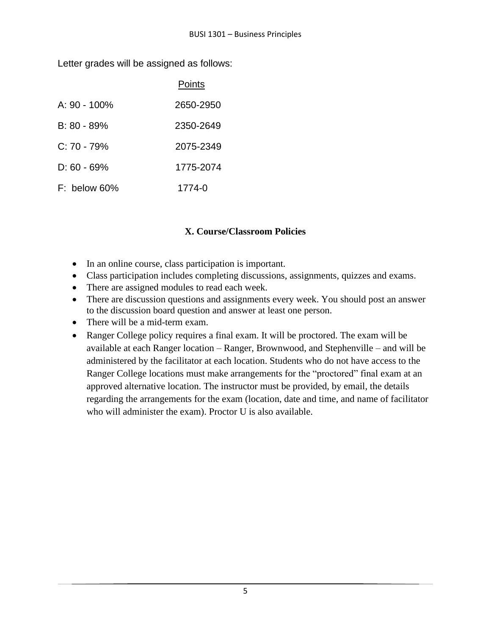Letter grades will be assigned as follows:

|                 | Points    |
|-----------------|-----------|
| A: $90 - 100\%$ | 2650-2950 |
| $B: 80 - 89\%$  | 2350-2649 |
| $C: 70 - 79\%$  | 2075-2349 |
| $D: 60 - 69%$   | 1775-2074 |
| $F:$ below 60%  | 1774-0    |

## **X. Course/Classroom Policies**

- In an online course, class participation is important.
- Class participation includes completing discussions, assignments, quizzes and exams.
- There are assigned modules to read each week.
- There are discussion questions and assignments every week. You should post an answer to the discussion board question and answer at least one person.
- There will be a mid-term exam.
- Ranger College policy requires a final exam. It will be proctored. The exam will be available at each Ranger location – Ranger, Brownwood, and Stephenville – and will be administered by the facilitator at each location. Students who do not have access to the Ranger College locations must make arrangements for the "proctored" final exam at an approved alternative location. The instructor must be provided, by email, the details regarding the arrangements for the exam (location, date and time, and name of facilitator who will administer the exam). Proctor U is also available.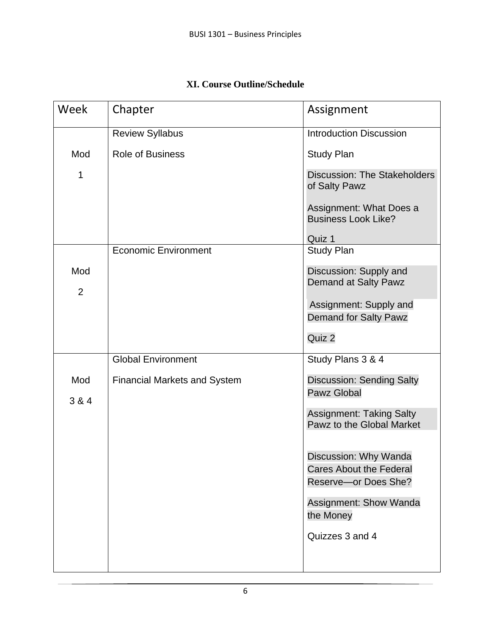|  | <b>XI. Course Outline/Schedule</b> |
|--|------------------------------------|
|  |                                    |

| Week                  | Chapter                             | Assignment                                                                                                                                |
|-----------------------|-------------------------------------|-------------------------------------------------------------------------------------------------------------------------------------------|
|                       | <b>Review Syllabus</b>              | <b>Introduction Discussion</b>                                                                                                            |
| Mod                   | <b>Role of Business</b>             | <b>Study Plan</b>                                                                                                                         |
| 1                     |                                     | <b>Discussion: The Stakeholders</b><br>of Salty Pawz                                                                                      |
|                       |                                     | Assignment: What Does a<br><b>Business Look Like?</b>                                                                                     |
|                       |                                     | Quiz 1                                                                                                                                    |
|                       | <b>Economic Environment</b>         | <b>Study Plan</b>                                                                                                                         |
| Mod<br>$\overline{2}$ |                                     | Discussion: Supply and<br>Demand at Salty Pawz                                                                                            |
|                       |                                     | Assignment: Supply and<br><b>Demand for Salty Pawz</b>                                                                                    |
|                       |                                     | Quiz 2                                                                                                                                    |
|                       | <b>Global Environment</b>           | Study Plans 3 & 4                                                                                                                         |
| Mod<br>3 & 4          | <b>Financial Markets and System</b> | <b>Discussion: Sending Salty</b><br><b>Pawz Global</b>                                                                                    |
|                       |                                     | <b>Assignment: Taking Salty</b><br>Pawz to the Global Market                                                                              |
|                       |                                     | Discussion: Why Wanda<br><b>Cares About the Federal</b><br>Reserve-or Does She?<br>Assignment: Show Wanda<br>the Money<br>Quizzes 3 and 4 |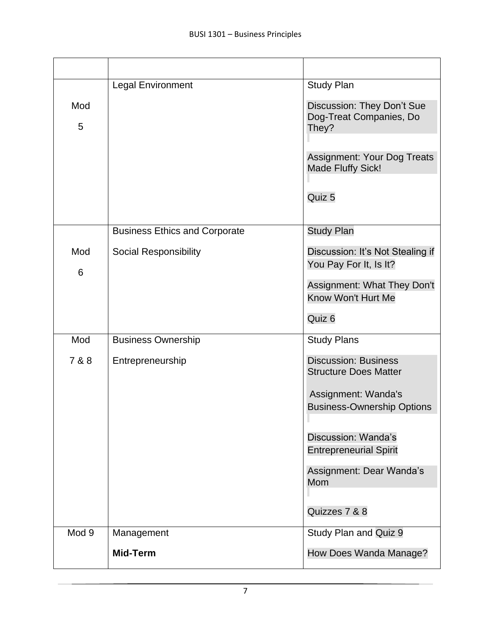| Mod<br>5     | <b>Legal Environment</b>                                             | <b>Study Plan</b><br>Discussion: They Don't Sue<br>Dog-Treat Companies, Do<br>They?<br>Assignment: Your Dog Treats<br>Made Fluffy Sick!<br>Quiz 5                                                                                                         |
|--------------|----------------------------------------------------------------------|-----------------------------------------------------------------------------------------------------------------------------------------------------------------------------------------------------------------------------------------------------------|
| Mod<br>6     | <b>Business Ethics and Corporate</b><br><b>Social Responsibility</b> | <b>Study Plan</b><br>Discussion: It's Not Stealing if<br>You Pay For It, Is It?<br>Assignment: What They Don't<br>Know Won't Hurt Me<br>Quiz 6                                                                                                            |
| Mod<br>7 & 8 | <b>Business Ownership</b><br>Entrepreneurship                        | <b>Study Plans</b><br><b>Discussion: Business</b><br><b>Structure Does Matter</b><br>Assignment: Wanda's<br><b>Business-Ownership Options</b><br>Discussion: Wanda's<br><b>Entrepreneurial Spirit</b><br>Assignment: Dear Wanda's<br>Mom<br>Quizzes 7 & 8 |
| Mod 9        | Management<br><b>Mid-Term</b>                                        | Study Plan and Quiz 9<br>How Does Wanda Manage?                                                                                                                                                                                                           |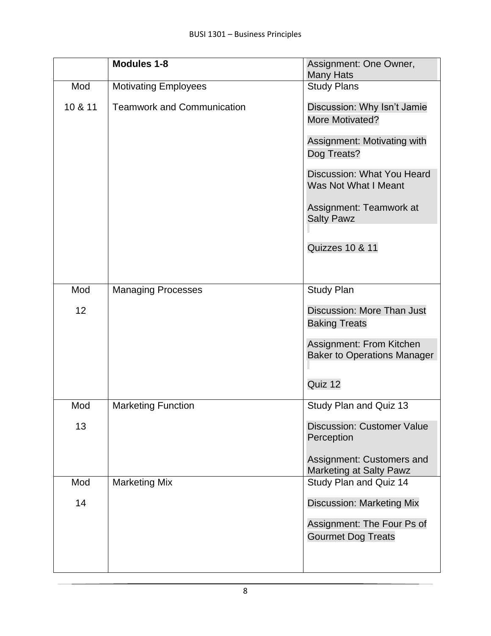|                 | <b>Modules 1-8</b>                | Assignment: One Owner,<br><b>Many Hats</b>                     |
|-----------------|-----------------------------------|----------------------------------------------------------------|
| Mod             | <b>Motivating Employees</b>       | <b>Study Plans</b>                                             |
| 10 & 11         | <b>Teamwork and Communication</b> | Discussion: Why Isn't Jamie<br>More Motivated?                 |
|                 |                                   | Assignment: Motivating with<br>Dog Treats?                     |
|                 |                                   | Discussion: What You Heard<br>Was Not What I Meant             |
|                 |                                   | Assignment: Teamwork at<br><b>Salty Pawz</b>                   |
|                 |                                   |                                                                |
|                 |                                   | <b>Quizzes 10 &amp; 11</b>                                     |
|                 |                                   |                                                                |
| Mod             | <b>Managing Processes</b>         | <b>Study Plan</b>                                              |
| 12 <sup>2</sup> |                                   | Discussion: More Than Just                                     |
|                 |                                   | <b>Baking Treats</b>                                           |
|                 |                                   | Assignment: From Kitchen<br><b>Baker to Operations Manager</b> |
|                 |                                   | Quiz 12                                                        |
| Mod             | <b>Marketing Function</b>         | Study Plan and Quiz 13                                         |
| 13              |                                   | <b>Discussion: Customer Value</b><br>Perception                |
|                 |                                   | Assignment: Customers and<br><b>Marketing at Salty Pawz</b>    |
| Mod             | <b>Marketing Mix</b>              | Study Plan and Quiz 14                                         |
| 14              |                                   | <b>Discussion: Marketing Mix</b>                               |
|                 |                                   | Assignment: The Four Ps of                                     |
|                 |                                   | <b>Gourmet Dog Treats</b>                                      |
|                 |                                   |                                                                |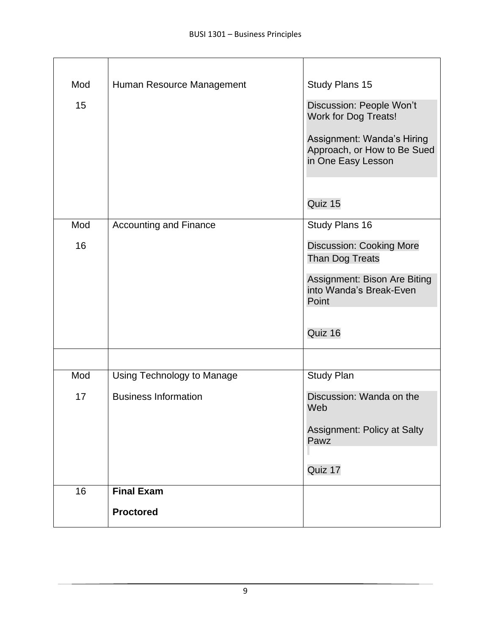| Mod<br>15 | Human Resource Management                                 | Study Plans 15<br>Discussion: People Won't<br><b>Work for Dog Treats!</b><br>Assignment: Wanda's Hiring<br>Approach, or How to Be Sued<br>in One Easy Lesson<br>Quiz 15 |
|-----------|-----------------------------------------------------------|-------------------------------------------------------------------------------------------------------------------------------------------------------------------------|
| Mod<br>16 | <b>Accounting and Finance</b>                             | Study Plans 16<br><b>Discussion: Cooking More</b><br><b>Than Dog Treats</b><br>Assignment: Bison Are Biting<br>into Wanda's Break-Even<br>Point<br>Quiz 16              |
| Mod<br>17 | Using Technology to Manage<br><b>Business Information</b> | <b>Study Plan</b><br>Discussion: Wanda on the<br>Web<br>Assignment: Policy at Salty<br>Pawz                                                                             |
| 16        | <b>Final Exam</b><br><b>Proctored</b>                     | Quiz 17                                                                                                                                                                 |